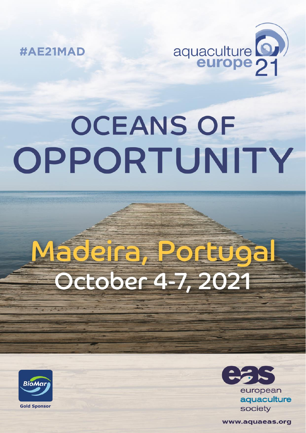

#AE21MAD

# **OCEANS OF** OPPORTUNITY

# Madeira, Portugal October 4-7, 2021





www.aquaeas.org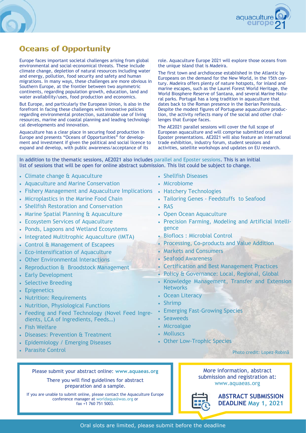

# **Oceans of Opportunity**

Europe faces important societal challenges arising from global environmental and social-economical threats. These include climate change, depletion of natural resources including water and energy, pollution, food security and safety and human migrations. In many ways, these challenges are more obvious in Southern Europe, at the frontier between two asymmetric continents, regarding population growth, education, land and water availability/uses, food production and economics.

But Europe, and particularly the European Union, is also in the forefront in facing these challenges with innovative policies regarding environmental protection, sustainable use of living resources, marine and coastal planning and leading technological developments and innovation.

Aquaculture has a clear place in securing food production in Europe and presents "Oceans of Opportunities" for development and investment if given the political and social licence to expand and develop, with public awareness/acceptance of its

role. Aquaculture Europe 2021 will explore those oceans from the unique island that is Madeira.

The first town and archdiocese established in the Atlantic by Europeans on the demand for the New World, in the 15th century. Madeira offers plenty of nature hotspots, for inland and marine escapes, such as the Laurel Forest World Heritage, the World Biosphere Reserve of Santana, and several Marine Natural parks. Portugal has a long tradition in aquaculture that dates back to the Roman presence in the Iberian Peninsula. Despite the modest figures of Portuguese aquaculture production, the activity reflects many of the social and other challenges that Europe faces.

The AE2021 parallel sessions will cover the full scope of European aquaculture and will comprise submitted oral and Eposter presentations. AE2021 will also feature an international trade exhibition, industry forum, student sessions and activities, satellite workshops and updates on EU research.

In addition to the thematic sessions, AE2021 also includes parallel and Eposter sessions. This is an initial list of sessions that will be open for online abstract submission. This list could be subject to change.

- Climate change & Aquaculture
- Aquaculture and Marine Conservation
- Fishery Management and Aquaculture Implications
- Microplastics in the Marine Food Chain
- Shellfish Restoration and Conservation
- Marine Spatial Planning & Aquaculture
- Ecosystem Services of Aquaculture
- Ponds, Lagoons and Wetland Ecosystems
- Integrated Multitrophic Aquaculture (IMTA)
- Control & Management of Escapees
- Eco-intensification of Aquaculture
- Other Environmental Interactions
- Reproduction & Broodstock Management
- Early Development
- Selective Breeding
- Epigenetics
- Nutrition: Requirements
- Nutrition, Physiological Functions
- Feeding and Feed Technology (Novel Feed Ingredients, LCA of Ingredients, Feeds…)
- Fish Welfare
- Diseases: Prevention & Treatment
- Epidemiology / Emerging Diseases
- Parasite Control
- Shellfish Diseases
- Microbiome
- Hatchery Technologies
- Tailoring Genes Feedstuffs to Seafood
- RAS
- Open Ocean Aquaculture
- Precision Farming, Modeling and Artificial Intelligence
- Bioflocs : Microbial Control
- Processing, Co-products and Value Addition
- Markets and Consumers
- Seafood Awareness
- Certification and Best Management Practices
- Policy & Governance: Local, Regional, Global
- Knowledge Management, Transfer and Extension **Networks**
- Ocean Literacy
- Shrimp
- Emerging Fast-Growing Species
- Seaweeds
- Microalgae
- Molluscs
- Other Low-Trophic Species

Please submit your abstract online: **[www.aquaeas.org](http://www.easonline.org)**

There you will find guidelines for abstract preparation and a sample.

If you are unable to submit online, please contact the Aquaculture Europe conference manager at worldaqua@was.org or fax +1 760 751 5003.

More information, abstract submission and registration at: [www.aquaeas.org](http://www.easonline.org)



Photo credit: Lopez-Robinâ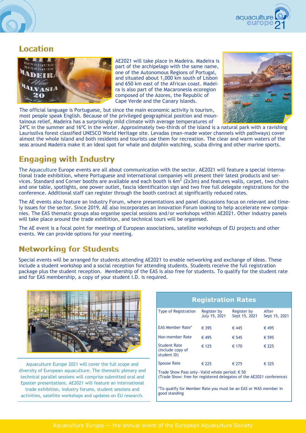

### Location



AE2021 will take place in Madeira. Madeira is part of the archipelago with the same name, one of the Autonomous Regions of Portugal, and situated about 1,000 km south of Lisbon and 650 km east of the African coast. Madeira is also part of the Macaronesia ecoregion composed of the Azores, the Republic of Cape Verde and the Canary Islands.



The official language is Portuguese, but since the main economic activity is tourism, most people speak English. Because of the privileged geographical position and mountainous relief, Madeira has a surprisingly mild climate with average temperatures of

24ºC in the summer and 16ºC in the winter. Approximately two-thirds of the island is a natural park with a ravishing Laurissilva forest classified UNESCO World Heritage site. Levadas (man-made water channels with pathways) cover almost the whole island and both residents and tourists use them for recreation. The clear and warm waters of the seas around Madeira make it an ideal spot for whale and dolphin watching, scuba diving and other marine sports.

# **Engaging with Industry**

The Aquaculture Europe events are all about communication with the sector. AE2021 will feature a special international trade exhibition, where Portuguese and international companies will present their latest products and services. Standard and Corner booths are available and each booth is 6m<sup>2</sup> (2x3m) and features walls, carpet, two chairs and one table, spotlights, one power outlet, fascia identification sign and two free full delegate registrations for the conference. Additional staff can register through the booth contract at significantly reduced rates.

The AE events also feature an Industry Forum, where presentations and panel discussions focus on relevant and timely issues for the sector. Since 2019, AE also incorporates an Innovation Forum looking to help accelerate new companies. The EAS thematic groups also organise special sessions and/or workshops within AE2021. Other industry panels will take place around the trade exhibition, and technical tours will be organised.

The AE event is a focal point for meetings of European associations, satellite workshops of EU projects and other events. We can provide options for your meeting.

# **Networking for Students**

Special events will be arranged for students attending AE2021 to enable networking and exchange of ideas. These include a student workshop and a social reception for attending students. Students receive the full registration package plus the student reception. Membership of the EAS is also free for students. To qualify for the student rate and for EAS membership, a copy of your student I.D. is required.



Aquaculture Europe 2021 will cover the full scope and diversity of European aquaculture. The thematic plenary and technical parallel sessions will comprise submitted oral and Eposter presentations. AE2021 will feature an international trade exhibition, industry forums, student sessions and activities, satellite workshops and updates on EU research.

| <b>Registration Rates</b>                                                                                                      |                              |                              |                        |  |  |
|--------------------------------------------------------------------------------------------------------------------------------|------------------------------|------------------------------|------------------------|--|--|
| <b>Type of Registration</b>                                                                                                    | Register by<br>July 15, 2021 | Register by<br>Sept 15, 2021 | After<br>Sept 15, 2021 |  |  |
| <b>EAS Member Rate*</b>                                                                                                        | € 395                        | € 445                        | € 495                  |  |  |
| Non-member Rate                                                                                                                | € 495                        | € 545                        | € 595                  |  |  |
| <b>Student Rate</b><br>(include copy of<br>student ID)                                                                         | € 125                        | € 170                        | € 225                  |  |  |
| <b>Spouse Rate</b>                                                                                                             | € 225                        | € 275                        | € 325                  |  |  |
| Trade Show Pass only-Valid whole period: $\epsilon$ 50<br>(Trade Show: free for registered delegates of the AE2021 conference) |                              |                              |                        |  |  |
| *To qualify for Member Rate you must be an EAS or WAS member in<br>good standing                                               |                              |                              |                        |  |  |